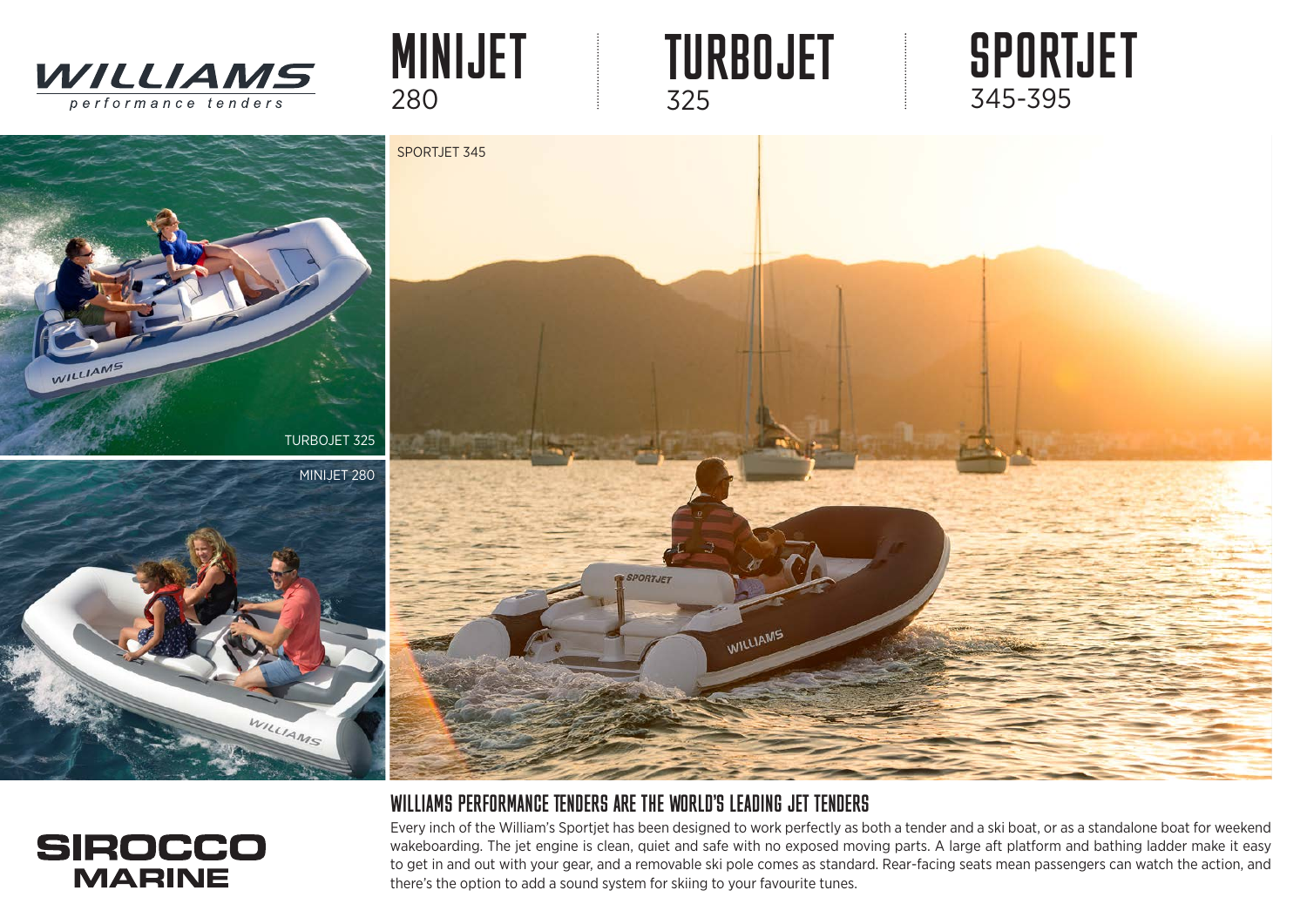

WILLIAMS



## WILLIAMS PERFORMANCE TENDERS ARE THE WORLD'S LEADING JET TENDERS

Every inch of the William's Sportjet has been designed to work perfectly as both a tender and a ski boat, or as a standalone boat for weekend wakeboarding. The jet engine is clean, quiet and safe with no exposed moving parts. A large aft platform and bathing ladder make it easy to get in and out with your gear, and a removable ski pole comes as standard. Rear-facing seats mean passengers can watch the action, and there's the option to add a sound system for skiing to your favourite tunes.



WILLIAMS